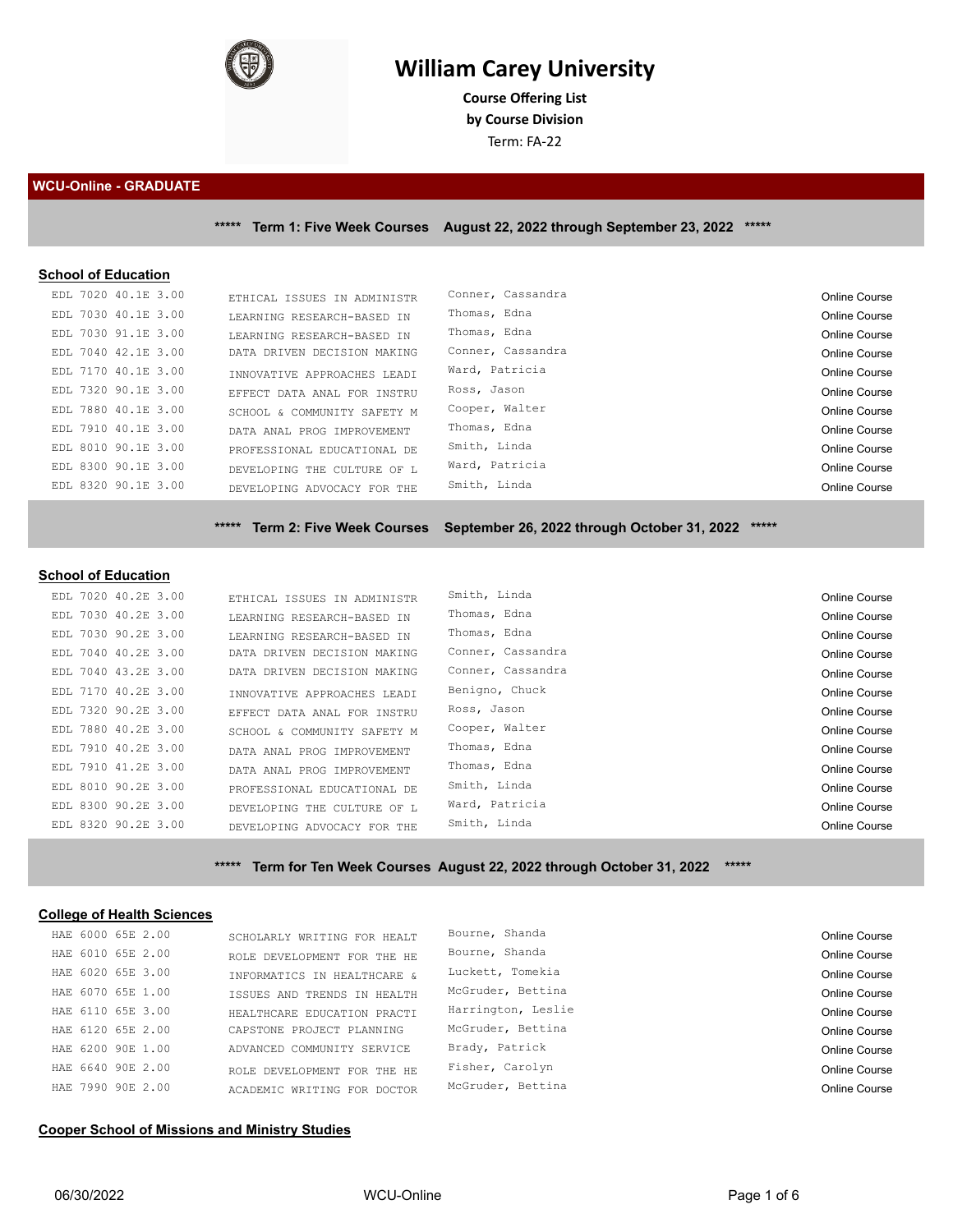

# **William Carey University**

**Course Ofering List by Course Division** Term: FA-22

**WCU-Online - GRADUATE**

**\*\*\*\*\* Term 1: Five Week Courses August 22, 2022 through September 23, 2022 \*\*\*\*\***

#### **School of Education**

| EDL 7020 40.1E 3.00 | ETHICAL ISSUES IN ADMINISTR | Conner, Cassandra | Online Course |
|---------------------|-----------------------------|-------------------|---------------|
| EDL 7030 40.1E 3.00 | LEARNING RESEARCH-BASED IN  | Thomas, Edna      | Online Course |
| EDL 7030 91.1E 3.00 | LEARNING RESEARCH-BASED IN  | Thomas, Edna      | Online Course |
| EDL 7040 42.1E 3.00 | DATA DRIVEN DECISION MAKING | Conner, Cassandra | Online Course |
| EDL 7170 40.1E 3.00 | INNOVATIVE APPROACHES LEADI | Ward, Patricia    | Online Course |
| EDL 7320 90.1E 3.00 | EFFECT DATA ANAL FOR INSTRU | Ross, Jason       | Online Course |
| EDL 7880 40.1E 3.00 | SCHOOL & COMMUNITY SAFETY M | Cooper, Walter    | Online Course |
| EDL 7910 40.1E 3.00 | DATA ANAL PROG IMPROVEMENT  | Thomas, Edna      | Online Course |
| EDL 8010 90.1E 3.00 | PROFESSIONAL EDUCATIONAL DE | Smith, Linda      | Online Course |
| EDL 8300 90.1E 3.00 | DEVELOPING THE CULTURE OF L | Ward, Patricia    | Online Course |
| EDL 8320 90.1E 3.00 | DEVELOPING ADVOCACY FOR THE | Smith, Linda      | Online Course |
|                     |                             |                   |               |

**\*\*\*\*\* Term 2: Five Week Courses September 26, 2022 through October 31, 2022 \*\*\*\*\***

#### **School of Education**

| EDL 7020 40.2E 3.00 | ETHICAL ISSUES IN ADMINISTR | Smith, Linda      | Online Course        |
|---------------------|-----------------------------|-------------------|----------------------|
| EDL 7030 40.2E 3.00 | LEARNING RESEARCH-BASED IN  | Thomas, Edna      | Online Course        |
| EDL 7030 90.2E 3.00 | LEARNING RESEARCH-BASED IN  | Thomas, Edna      | Online Course        |
| EDL 7040 40.2E 3.00 | DATA DRIVEN DECISION MAKING | Conner, Cassandra | Online Course        |
| EDL 7040 43.2E 3.00 | DATA DRIVEN DECISION MAKING | Conner, Cassandra | Online Course        |
| EDL 7170 40.2E 3.00 | INNOVATIVE APPROACHES LEADI | Benigno, Chuck    | Online Course        |
| EDL 7320 90.2E 3.00 | EFFECT DATA ANAL FOR INSTRU | Ross, Jason       | Online Course        |
| EDL 7880 40.2E 3.00 | SCHOOL & COMMUNITY SAFETY M | Cooper, Walter    | Online Course        |
| EDL 7910 40.2E 3.00 | DATA ANAL PROG IMPROVEMENT  | Thomas, Edna      | Online Course        |
| EDL 7910 41.2E 3.00 | DATA ANAL PROG IMPROVEMENT  | Thomas, Edna      | Online Course        |
| EDL 8010 90.2E 3.00 | PROFESSIONAL EDUCATIONAL DE | Smith, Linda      | Online Course        |
| EDL 8300 90.2E 3.00 | DEVELOPING THE CULTURE OF L | Ward, Patricia    | <b>Online Course</b> |
| EDL 8320 90.2E 3.00 | DEVELOPING ADVOCACY FOR THE | Smith, Linda      | Online Course        |

**\*\*\*\*\* Term for Ten Week Courses August 22, 2022 through October 31, 2022 \*\*\*\*\***

#### **College of Health Sciences**

| HAE 6000 65E 2.00 | SCHOLARLY WRITING FOR HEALT | Bourne, Shanda     | Online Course |
|-------------------|-----------------------------|--------------------|---------------|
| HAE 6010 65E 2.00 | ROLE DEVELOPMENT FOR THE HE | Bourne, Shanda     | Online Course |
| HAE 6020 65E 3.00 | INFORMATICS IN HEALTHCARE & | Luckett, Tomekia   | Online Course |
| HAE 6070 65E 1.00 | ISSUES AND TRENDS IN HEALTH | McGruder, Bettina  | Online Course |
| HAE 6110 65E 3.00 | HEALTHCARE EDUCATION PRACTI | Harrington, Leslie | Online Course |
| HAE 6120 65E 2.00 | CAPSTONE PROJECT PLANNING   | McGruder, Bettina  | Online Course |
| HAE 6200 90E 1.00 | ADVANCED COMMUNITY SERVICE  | Brady, Patrick     | Online Course |
| HAE 6640 90E 2.00 | ROLE DEVELOPMENT FOR THE HE | Fisher, Carolyn    | Online Course |
| HAE 7990 90E 2.00 | ACADEMIC WRITING FOR DOCTOR | McGruder, Bettina  | Online Course |

# **Cooper School of Missions and Ministry Studies**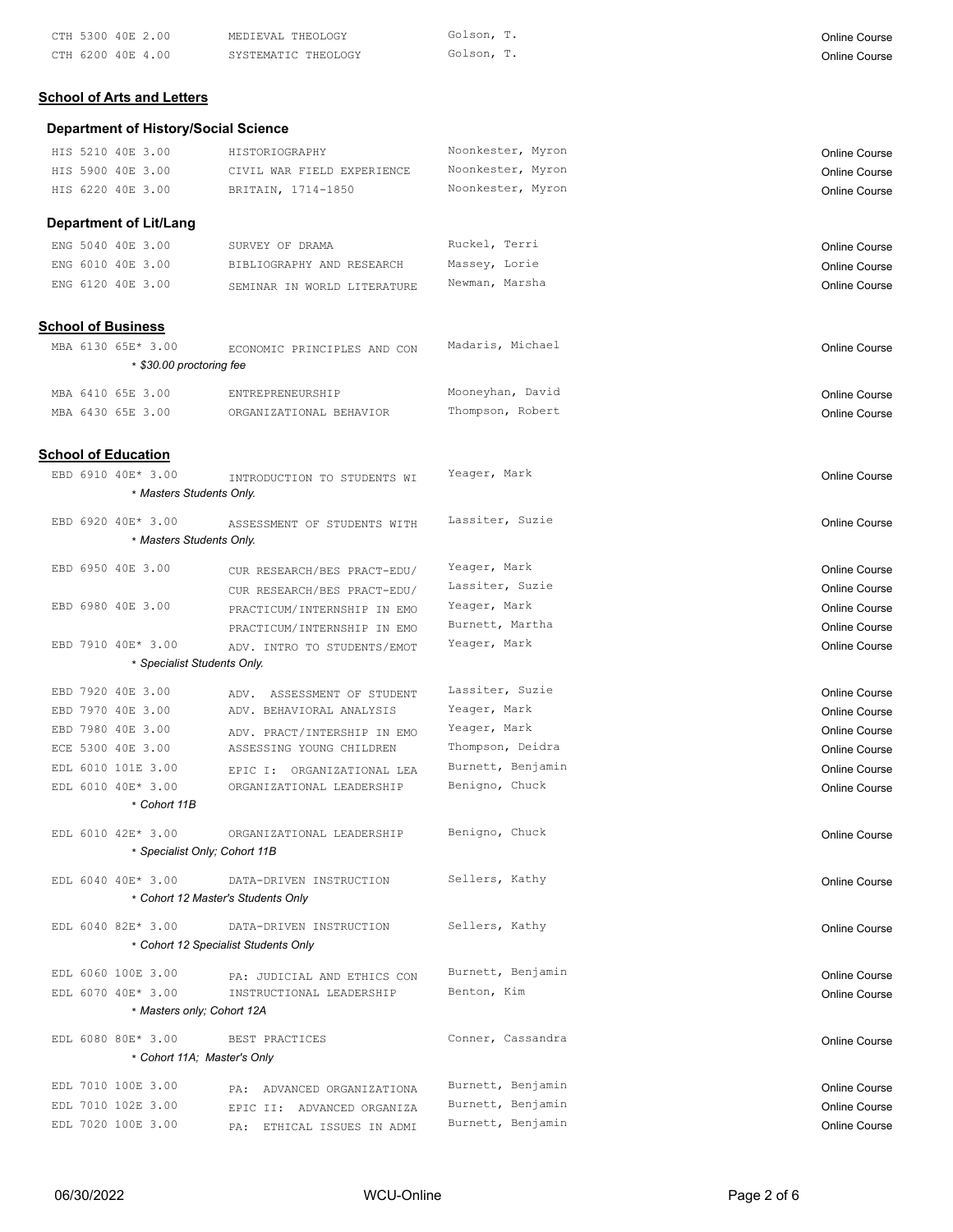| CTH 5300 40E 2.00 | MEDIEVAL THEOLOGY   | Golson, T. | Online Course |
|-------------------|---------------------|------------|---------------|
| CTH 6200 40E 4.00 | SYSTEMATIC THEOLOGY | Golson, T. | Online Course |

# **School of Arts and Letters**

# **Department of History/Social Science**

|  | HIS 5210 40E 3.00                                | HISTORIOGRAPHY                                             | Noonkester, Myron | Online Course        |
|--|--------------------------------------------------|------------------------------------------------------------|-------------------|----------------------|
|  | HIS 5900 40E 3.00                                | CIVIL WAR FIELD EXPERIENCE                                 | Noonkester, Myron | Online Course        |
|  | HIS 6220 40E 3.00                                | BRITAIN, 1714-1850                                         | Noonkester, Myron | <b>Online Course</b> |
|  |                                                  |                                                            |                   |                      |
|  | <b>Department of Lit/Lang</b>                    |                                                            |                   |                      |
|  | ENG 5040 40E 3.00                                | SURVEY OF DRAMA                                            | Ruckel, Terri     | Online Course        |
|  | ENG 6010 40E 3.00                                | BIBLIOGRAPHY AND RESEARCH                                  | Massey, Lorie     | <b>Online Course</b> |
|  | ENG 6120 40E 3.00                                | SEMINAR IN WORLD LITERATURE                                | Newman, Marsha    | Online Course        |
|  | <b>School of Business</b>                        |                                                            |                   |                      |
|  | MBA 6130 65E* 3.00                               | ECONOMIC PRINCIPLES AND CON                                | Madaris, Michael  | <b>Online Course</b> |
|  | * \$30.00 proctoring fee                         |                                                            |                   |                      |
|  |                                                  |                                                            |                   |                      |
|  | MBA 6410 65E 3.00                                | ENTREPRENEURSHIP                                           | Mooneyhan, David  | <b>Online Course</b> |
|  | MBA 6430 65E 3.00                                | ORGANIZATIONAL BEHAVIOR                                    | Thompson, Robert  | <b>Online Course</b> |
|  | <b>School of Education</b>                       |                                                            |                   |                      |
|  | EBD 6910 40E* 3.00                               | INTRODUCTION TO STUDENTS WI                                | Yeager, Mark      | <b>Online Course</b> |
|  | * Masters Students Only.                         |                                                            |                   |                      |
|  | EBD 6920 40E* 3.00                               | ASSESSMENT OF STUDENTS WITH                                | Lassiter, Suzie   | <b>Online Course</b> |
|  | * Masters Students Only.                         |                                                            |                   |                      |
|  | EBD 6950 40E 3.00                                |                                                            | Yeager, Mark      | Online Course        |
|  |                                                  | CUR RESEARCH/BES PRACT-EDU/<br>CUR RESEARCH/BES PRACT-EDU/ | Lassiter, Suzie   | Online Course        |
|  | EBD 6980 40E 3.00                                |                                                            | Yeager, Mark      | Online Course        |
|  |                                                  | PRACTICUM/INTERNSHIP IN EMO                                | Burnett, Martha   | Online Course        |
|  | EBD 7910 40E* 3.00                               | PRACTICUM/INTERNSHIP IN EMO                                | Yeager, Mark      | <b>Online Course</b> |
|  | * Specialist Students Only.                      | ADV. INTRO TO STUDENTS/EMOT                                |                   |                      |
|  |                                                  |                                                            |                   |                      |
|  | EBD 7920 40E 3.00                                | ADV. ASSESSMENT OF STUDENT                                 | Lassiter, Suzie   | Online Course        |
|  | EBD 7970 40E 3.00                                | ADV. BEHAVIORAL ANALYSIS                                   | Yeager, Mark      | <b>Online Course</b> |
|  | EBD 7980 40E 3.00                                | ADV. PRACT/INTERSHIP IN EMO                                | Yeager, Mark      | Online Course        |
|  | ECE 5300 40E 3.00                                | ASSESSING YOUNG CHILDREN                                   | Thompson, Deidra  | Online Course        |
|  | EDL 6010 101E 3.00                               | EPIC I: ORGANIZATIONAL LEA                                 | Burnett, Benjamin | <b>Online Course</b> |
|  | EDL 6010 40E* 3.00                               | ORGANIZATIONAL LEADERSHIP                                  | Benigno, Chuck    | Online Course        |
|  | * Cohort 11B                                     |                                                            |                   |                      |
|  | EDL 6010 42E* 3.00                               | ORGANIZATIONAL LEADERSHIP                                  | Benigno, Chuck    | <b>Online Course</b> |
|  |                                                  | * Specialist Only; Cohort 11B                              |                   |                      |
|  | EDL 6040 40E* 3.00                               | DATA-DRIVEN INSTRUCTION                                    | Sellers, Kathy    | <b>Online Course</b> |
|  |                                                  | * Cohort 12 Master's Students Only                         |                   |                      |
|  | EDL 6040 82E* 3.00                               | DATA-DRIVEN INSTRUCTION                                    | Sellers, Kathy    | Online Course        |
|  |                                                  | * Cohort 12 Specialist Students Only                       |                   |                      |
|  |                                                  |                                                            | Burnett, Benjamin |                      |
|  | EDL 6060 100E 3.00                               | PA: JUDICIAL AND ETHICS CON                                |                   | <b>Online Course</b> |
|  | EDL 6070 40E* 3.00<br>* Masters only; Cohort 12A | INSTRUCTIONAL LEADERSHIP                                   | Benton, Kim       | <b>Online Course</b> |
|  |                                                  |                                                            |                   |                      |
|  | EDL 6080 80E* 3.00                               | BEST PRACTICES                                             | Conner, Cassandra | <b>Online Course</b> |
|  |                                                  | * Cohort 11A; Master's Only                                |                   |                      |
|  | EDL 7010 100E 3.00                               | PA: ADVANCED ORGANIZATIONA                                 | Burnett, Benjamin | <b>Online Course</b> |
|  | EDL 7010 102E 3.00                               | EPIC II: ADVANCED ORGANIZA                                 | Burnett, Benjamin | <b>Online Course</b> |
|  | EDL 7020 100E 3.00                               | PA: ETHICAL ISSUES IN ADMI                                 | Burnett, Benjamin | Online Course        |
|  |                                                  |                                                            |                   |                      |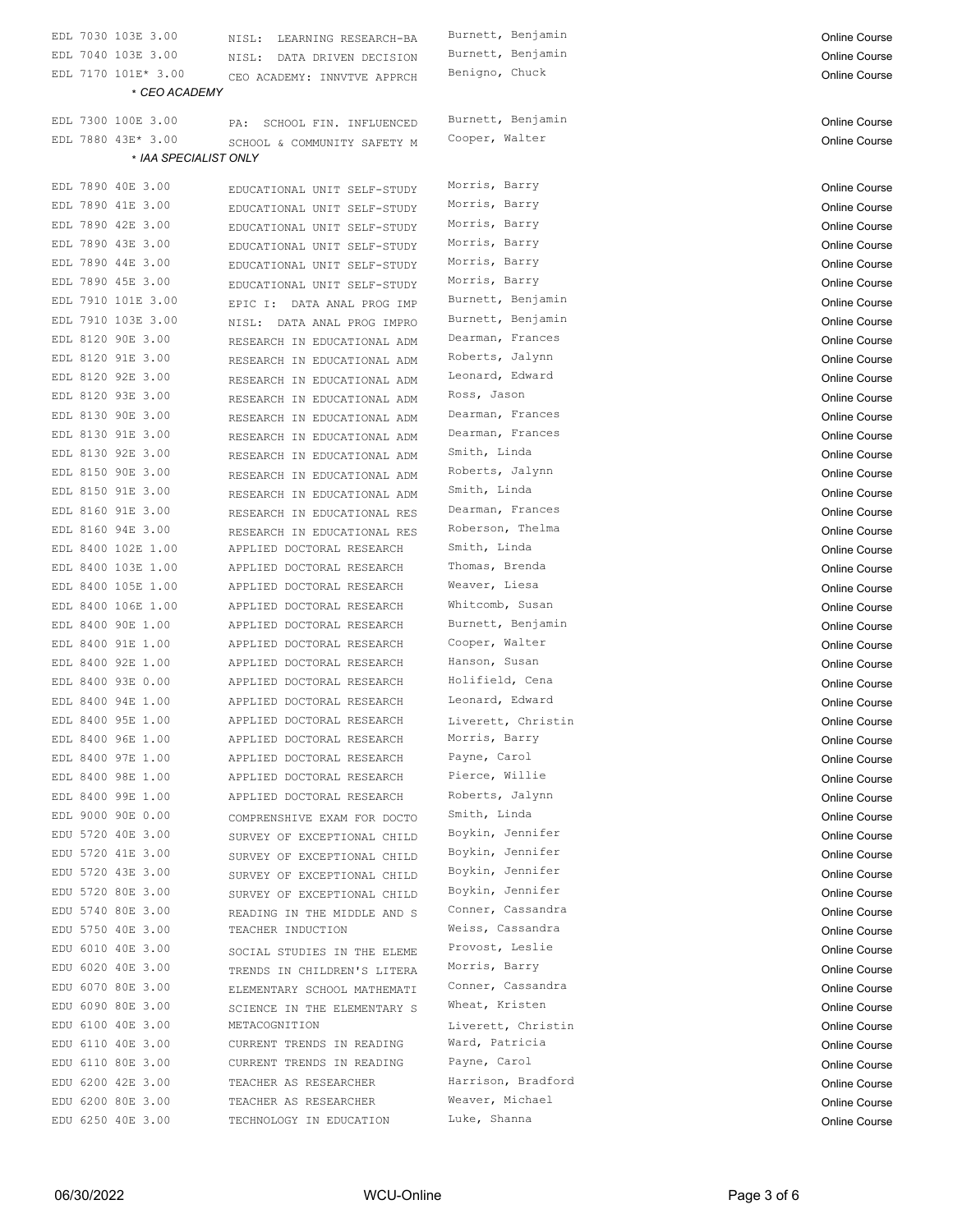| EDL 7030 103E 3.00    | NISL: LEARNING RESEARCH-BA    | Burnett, Benjamin  | <b>Online Course</b> |
|-----------------------|-------------------------------|--------------------|----------------------|
| EDL 7040 103E 3.00    | NISL:<br>DATA DRIVEN DECISION | Burnett, Benjamin  | <b>Online Course</b> |
| EDL 7170 101E* 3.00   | CEO ACADEMY: INNVTVE APPRCH   | Benigno, Chuck     | Online Course        |
| * CEO ACADEMY         |                               |                    |                      |
| EDL 7300 100E 3.00    | SCHOOL FIN. INFLUENCED<br>PA: | Burnett, Benjamin  | Online Course        |
| EDL 7880 43E* 3.00    | SCHOOL & COMMUNITY SAFETY M   | Cooper, Walter     | <b>Online Course</b> |
| * IAA SPECIALIST ONLY |                               |                    |                      |
|                       |                               |                    |                      |
| EDL 7890 40E 3.00     | EDUCATIONAL UNIT SELF-STUDY   | Morris, Barry      | <b>Online Course</b> |
| EDL 7890 41E 3.00     | EDUCATIONAL UNIT SELF-STUDY   | Morris, Barry      | <b>Online Course</b> |
| EDL 7890 42E 3.00     | EDUCATIONAL UNIT SELF-STUDY   | Morris, Barry      | <b>Online Course</b> |
| EDL 7890 43E 3.00     | EDUCATIONAL UNIT SELF-STUDY   | Morris, Barry      | <b>Online Course</b> |
| EDL 7890 44E 3.00     | EDUCATIONAL UNIT SELF-STUDY   | Morris, Barry      | <b>Online Course</b> |
| EDL 7890 45E 3.00     | EDUCATIONAL UNIT SELF-STUDY   | Morris, Barry      | <b>Online Course</b> |
| EDL 7910 101E 3.00    | EPIC I: DATA ANAL PROG IMP    | Burnett, Benjamin  | <b>Online Course</b> |
| EDL 7910 103E 3.00    | NISL: DATA ANAL PROG IMPRO    | Burnett, Benjamin  | <b>Online Course</b> |
| EDL 8120 90E 3.00     | RESEARCH IN EDUCATIONAL ADM   | Dearman, Frances   | <b>Online Course</b> |
| EDL 8120 91E 3.00     | RESEARCH IN EDUCATIONAL ADM   | Roberts, Jalynn    | Online Course        |
| EDL 8120 92E 3.00     | RESEARCH IN EDUCATIONAL ADM   | Leonard, Edward    | Online Course        |
| EDL 8120 93E 3.00     | RESEARCH IN EDUCATIONAL ADM   | Ross, Jason        | <b>Online Course</b> |
| EDL 8130 90E 3.00     | RESEARCH IN EDUCATIONAL ADM   | Dearman, Frances   | Online Course        |
| EDL 8130 91E 3.00     | RESEARCH IN EDUCATIONAL ADM   | Dearman, Frances   | <b>Online Course</b> |
| EDL 8130 92E 3.00     | RESEARCH IN EDUCATIONAL ADM   | Smith, Linda       | <b>Online Course</b> |
| EDL 8150 90E 3.00     | RESEARCH IN EDUCATIONAL ADM   | Roberts, Jalynn    | Online Course        |
| EDL 8150 91E 3.00     | RESEARCH IN EDUCATIONAL ADM   | Smith, Linda       | <b>Online Course</b> |
| EDL 8160 91E 3.00     | RESEARCH IN EDUCATIONAL RES   | Dearman, Frances   | <b>Online Course</b> |
| EDL 8160 94E 3.00     | RESEARCH IN EDUCATIONAL RES   | Roberson, Thelma   | <b>Online Course</b> |
| EDL 8400 102E 1.00    | APPLIED DOCTORAL RESEARCH     | Smith, Linda       | <b>Online Course</b> |
| EDL 8400 103E 1.00    | APPLIED DOCTORAL RESEARCH     | Thomas, Brenda     | Online Course        |
| EDL 8400 105E 1.00    | APPLIED DOCTORAL RESEARCH     | Weaver, Liesa      | Online Course        |
| EDL 8400 106E 1.00    | APPLIED DOCTORAL RESEARCH     | Whitcomb, Susan    |                      |
| EDL 8400 90E 1.00     | APPLIED DOCTORAL RESEARCH     | Burnett, Benjamin  | <b>Online Course</b> |
|                       |                               | Cooper, Walter     | Online Course        |
| EDL 8400 91E 1.00     | APPLIED DOCTORAL RESEARCH     |                    | Online Course        |
| EDL 8400 92E 1.00     | APPLIED DOCTORAL RESEARCH     | Hanson, Susan      | <b>Online Course</b> |
| EDL 8400 93E 0.00     | APPLIED DOCTORAL RESEARCH     | Holifield, Cena    | <b>Online Course</b> |
| EDL 8400 94E 1.00     | APPLIED DOCTORAL RESEARCH     | Leonard, Edward    | <b>Online Course</b> |
| EDL 8400 95E 1.00     | APPLIED DOCTORAL RESEARCH     | Liverett, Christin | Online Course        |
| EDL 8400 96E 1.00     | APPLIED DOCTORAL RESEARCH     | Morris, Barry      | Online Course        |
| EDL 8400 97E 1.00     | APPLIED DOCTORAL RESEARCH     | Payne, Carol       | Online Course        |
| EDL 8400 98E 1.00     | APPLIED DOCTORAL RESEARCH     | Pierce, Willie     | Online Course        |
| EDL 8400 99E 1.00     | APPLIED DOCTORAL RESEARCH     | Roberts, Jalynn    | Online Course        |
| EDL 9000 90E 0.00     | COMPRENSHIVE EXAM FOR DOCTO   | Smith, Linda       | <b>Online Course</b> |
| EDU 5720 40E 3.00     | SURVEY OF EXCEPTIONAL CHILD   | Boykin, Jennifer   | Online Course        |
| EDU 5720 41E 3.00     | SURVEY OF EXCEPTIONAL CHILD   | Boykin, Jennifer   | Online Course        |
| EDU 5720 43E 3.00     | SURVEY OF EXCEPTIONAL CHILD   | Boykin, Jennifer   | <b>Online Course</b> |
| EDU 5720 80E 3.00     | SURVEY OF EXCEPTIONAL CHILD   | Boykin, Jennifer   | Online Course        |
| EDU 5740 80E 3.00     | READING IN THE MIDDLE AND S   | Conner, Cassandra  | Online Course        |
| EDU 5750 40E 3.00     | TEACHER INDUCTION             | Weiss, Cassandra   | Online Course        |
| EDU 6010 40E 3.00     | SOCIAL STUDIES IN THE ELEME   | Provost, Leslie    | Online Course        |
| EDU 6020 40E 3.00     | TRENDS IN CHILDREN'S LITERA   | Morris, Barry      | <b>Online Course</b> |
| EDU 6070 80E 3.00     | ELEMENTARY SCHOOL MATHEMATI   | Conner, Cassandra  | Online Course        |
| EDU 6090 80E 3.00     | SCIENCE IN THE ELEMENTARY S   | Wheat, Kristen     | <b>Online Course</b> |
| EDU 6100 40E 3.00     | METACOGNITION                 | Liverett, Christin | Online Course        |
| EDU 6110 40E 3.00     | CURRENT TRENDS IN READING     | Ward, Patricia     | Online Course        |
| EDU 6110 80E 3.00     | CURRENT TRENDS IN READING     | Payne, Carol       | Online Course        |
| EDU 6200 42E 3.00     | TEACHER AS RESEARCHER         | Harrison, Bradford | Online Course        |
| EDU 6200 80E 3.00     | TEACHER AS RESEARCHER         | Weaver, Michael    | Online Course        |
| EDU 6250 40E 3.00     | TECHNOLOGY IN EDUCATION       | Luke, Shanna       | Online Course        |
|                       |                               |                    |                      |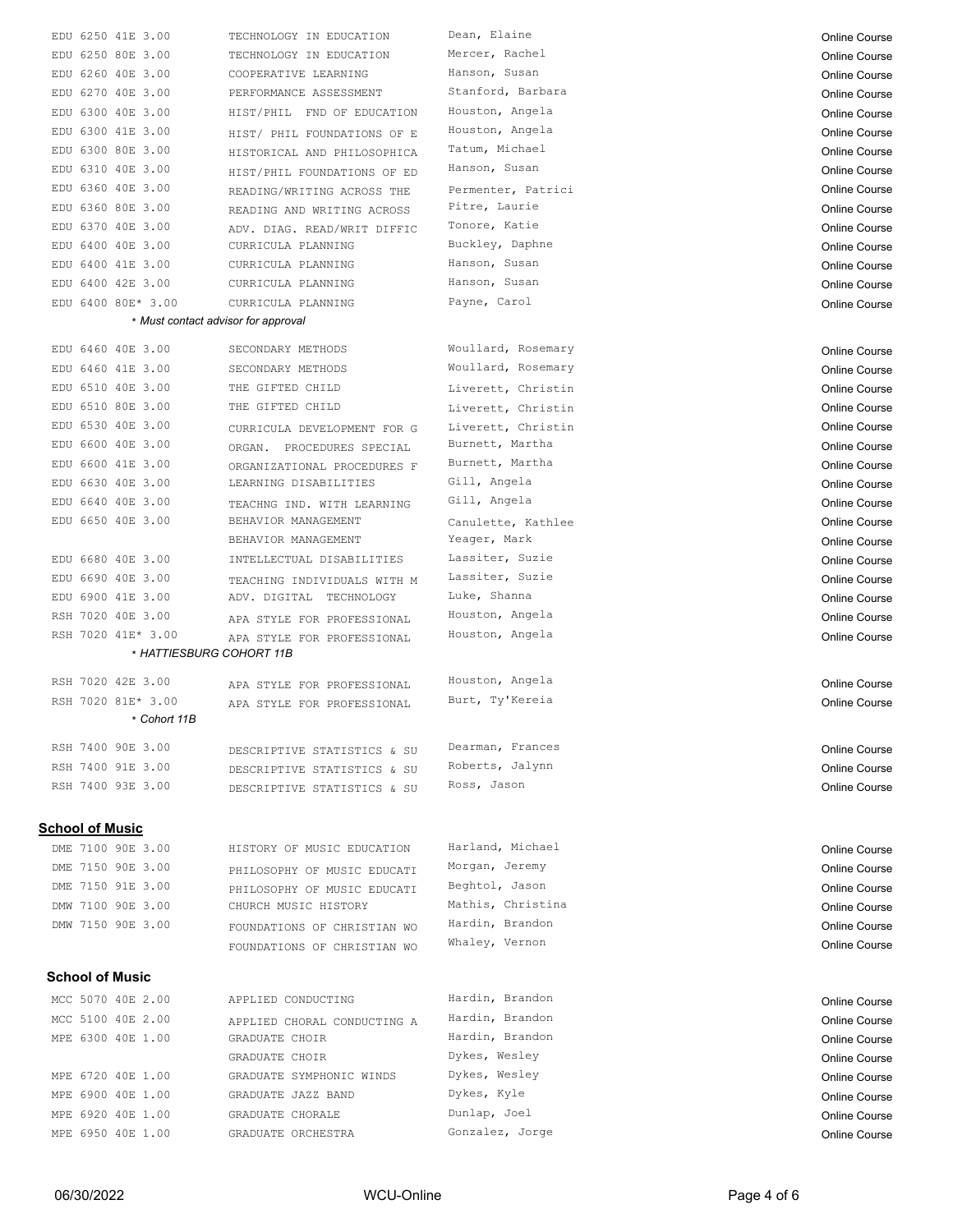|     | EDU 6250 41E 3.00                   | TECHNOLOGY IN EDUCATION                                | Dean, Elaine       | Online Course                         |
|-----|-------------------------------------|--------------------------------------------------------|--------------------|---------------------------------------|
|     | EDU 6250 80E 3.00                   | TECHNOLOGY IN EDUCATION                                | Mercer, Rachel     | Online Course                         |
|     | EDU 6260 40E 3.00                   | COOPERATIVE LEARNING                                   | Hanson, Susan      | Online Course                         |
|     | EDU 6270 40E 3.00                   | PERFORMANCE ASSESSMENT                                 | Stanford, Barbara  | <b>Online Course</b>                  |
|     | EDU 6300 40E 3.00                   | HIST/PHIL FND OF EDUCATION                             | Houston, Angela    | <b>Online Course</b>                  |
| EDU | 6300 41E 3.00                       | HIST/ PHIL FOUNDATIONS OF E                            | Houston, Angela    | Online Course                         |
| EDU | 6300 80E 3.00                       | HISTORICAL AND PHILOSOPHICA                            | Tatum, Michael     | <b>Online Course</b>                  |
|     | EDU 6310 40E 3.00                   | HIST/PHIL FOUNDATIONS OF ED                            | Hanson, Susan      | Online Course                         |
|     | EDU 6360 40E 3.00                   | READING/WRITING ACROSS THE                             | Permenter, Patrici | Online Course                         |
|     | EDU 6360 80E 3.00                   | READING AND WRITING ACROSS                             | Pitre, Laurie      | <b>Online Course</b>                  |
|     | EDU 6370 40E 3.00                   | ADV. DIAG. READ/WRIT DIFFIC                            | Tonore, Katie      | Online Course                         |
|     | EDU 6400 40E 3.00                   | CURRICULA PLANNING                                     | Buckley, Daphne    | <b>Online Course</b>                  |
|     | EDU 6400 41E 3.00                   | CURRICULA PLANNING                                     | Hanson, Susan      | <b>Online Course</b>                  |
|     | EDU 6400 42E 3.00                   | CURRICULA PLANNING                                     | Hanson, Susan      | Online Course                         |
|     | EDU 6400 80E* 3.00                  | CURRICULA PLANNING                                     | Payne, Carol       | <b>Online Course</b>                  |
|     | * Must contact advisor for approval |                                                        |                    |                                       |
|     | EDU 6460 40E 3.00                   | SECONDARY METHODS                                      | Woullard, Rosemary | <b>Online Course</b>                  |
|     | EDU 6460 41E 3.00                   | SECONDARY METHODS                                      | Woullard, Rosemary | <b>Online Course</b>                  |
|     | EDU 6510 40E 3.00                   | THE GIFTED CHILD                                       | Liverett, Christin | <b>Online Course</b>                  |
|     | EDU 6510 80E 3.00                   | THE GIFTED CHILD                                       | Liverett, Christin | <b>Online Course</b>                  |
|     | EDU 6530 40E 3.00                   | CURRICULA DEVELOPMENT FOR G                            | Liverett, Christin | Online Course                         |
|     | EDU 6600 40E 3.00                   | ORGAN. PROCEDURES SPECIAL                              | Burnett, Martha    | Online Course                         |
|     | EDU 6600 41E 3.00                   | ORGANIZATIONAL PROCEDURES F                            | Burnett, Martha    | Online Course                         |
|     | EDU 6630 40E 3.00                   | LEARNING DISABILITIES                                  | Gill, Angela       | Online Course                         |
|     | EDU 6640 40E 3.00                   | TEACHNG IND. WITH LEARNING                             | Gill, Angela       | <b>Online Course</b>                  |
|     | EDU 6650 40E 3.00                   | BEHAVIOR MANAGEMENT                                    | Canulette, Kathlee | <b>Online Course</b>                  |
|     |                                     | BEHAVIOR MANAGEMENT                                    | Yeager, Mark       | <b>Online Course</b>                  |
|     | EDU 6680 40E 3.00                   | INTELLECTUAL DISABILITIES                              | Lassiter, Suzie    | Online Course                         |
|     | EDU 6690 40E 3.00                   |                                                        | Lassiter, Suzie    | <b>Online Course</b>                  |
|     | EDU 6900 41E 3.00                   | TEACHING INDIVIDUALS WITH M<br>ADV. DIGITAL TECHNOLOGY | Luke, Shanna       | <b>Online Course</b>                  |
|     | RSH 7020 40E 3.00                   |                                                        | Houston, Angela    |                                       |
|     | RSH 7020 41E* 3.00                  | APA STYLE FOR PROFESSIONAL                             | Houston, Angela    | <b>Online Course</b><br>Online Course |
|     | * HATTIESBURG COHORT 11B            | APA STYLE FOR PROFESSIONAL                             |                    |                                       |
|     |                                     |                                                        |                    |                                       |
|     | RSH 7020 42E 3.00                   | APA STYLE FOR PROFESSIONAL                             | Houston, Angela    | <b>Online Course</b>                  |
|     | RSH 7020 81E* 3.00                  | APA STYLE FOR PROFESSIONAL                             | Burt, Ty'Kereia    | <b>Online Course</b>                  |
|     | * Cohort 11B                        |                                                        |                    |                                       |
|     | RSH 7400 90E 3.00                   | DESCRIPTIVE STATISTICS & SU                            | Dearman, Frances   | <b>Online Course</b>                  |
|     | RSH 7400 91E 3.00                   | DESCRIPTIVE STATISTICS & SU                            | Roberts, Jalynn    | <b>Online Course</b>                  |
|     | RSH 7400 93E 3.00                   | DESCRIPTIVE STATISTICS & SU                            | Ross, Jason        | <b>Online Course</b>                  |
|     |                                     |                                                        |                    |                                       |
|     | School of Music                     |                                                        |                    |                                       |
|     |                                     |                                                        |                    |                                       |
|     | DME 7100 90E 3.00                   | HISTORY OF MUSIC EDUCATION                             | Harland, Michael   | Online Course                         |
|     | DME 7150 90E 3.00                   |                                                        | Morgan, Jeremy     | <b>Online Course</b>                  |
|     | DME 7150 91E 3.00                   | PHILOSOPHY OF MUSIC EDUCATI                            | Beghtol, Jason     | <b>Online Course</b>                  |
|     | DMW 7100 90E 3.00                   | PHILOSOPHY OF MUSIC EDUCATI<br>CHURCH MUSIC HISTORY    | Mathis, Christina  | <b>Online Course</b>                  |
|     | DMW 7150 90E 3.00                   |                                                        | Hardin, Brandon    | <b>Online Course</b>                  |
|     |                                     | FOUNDATIONS OF CHRISTIAN WO                            | Whaley, Vernon     | Online Course                         |
|     |                                     | FOUNDATIONS OF CHRISTIAN WO                            |                    |                                       |
|     | <b>School of Music</b>              |                                                        |                    |                                       |
|     | MCC 5070 40E 2.00                   | APPLIED CONDUCTING                                     | Hardin, Brandon    | <b>Online Course</b>                  |
|     | MCC 5100 40E 2.00                   | APPLIED CHORAL CONDUCTING A                            | Hardin, Brandon    | <b>Online Course</b>                  |
|     | MPE 6300 40E 1.00                   | GRADUATE CHOIR                                         | Hardin, Brandon    | <b>Online Course</b>                  |
|     |                                     | GRADUATE CHOIR                                         | Dykes, Wesley      | Online Course                         |
|     | MPE 6720 40E 1.00                   | GRADUATE SYMPHONIC WINDS                               | Dykes, Wesley      | <b>Online Course</b>                  |
|     | MPE 6900 40E 1.00                   | GRADUATE JAZZ BAND                                     | Dykes, Kyle        | <b>Online Course</b>                  |
|     | MPE 6920 40E 1.00                   | GRADUATE CHORALE                                       | Dunlap, Joel       | <b>Online Course</b>                  |
|     | MPE 6950 40E 1.00                   | GRADUATE ORCHESTRA                                     | Gonzalez, Jorge    | <b>Online Course</b>                  |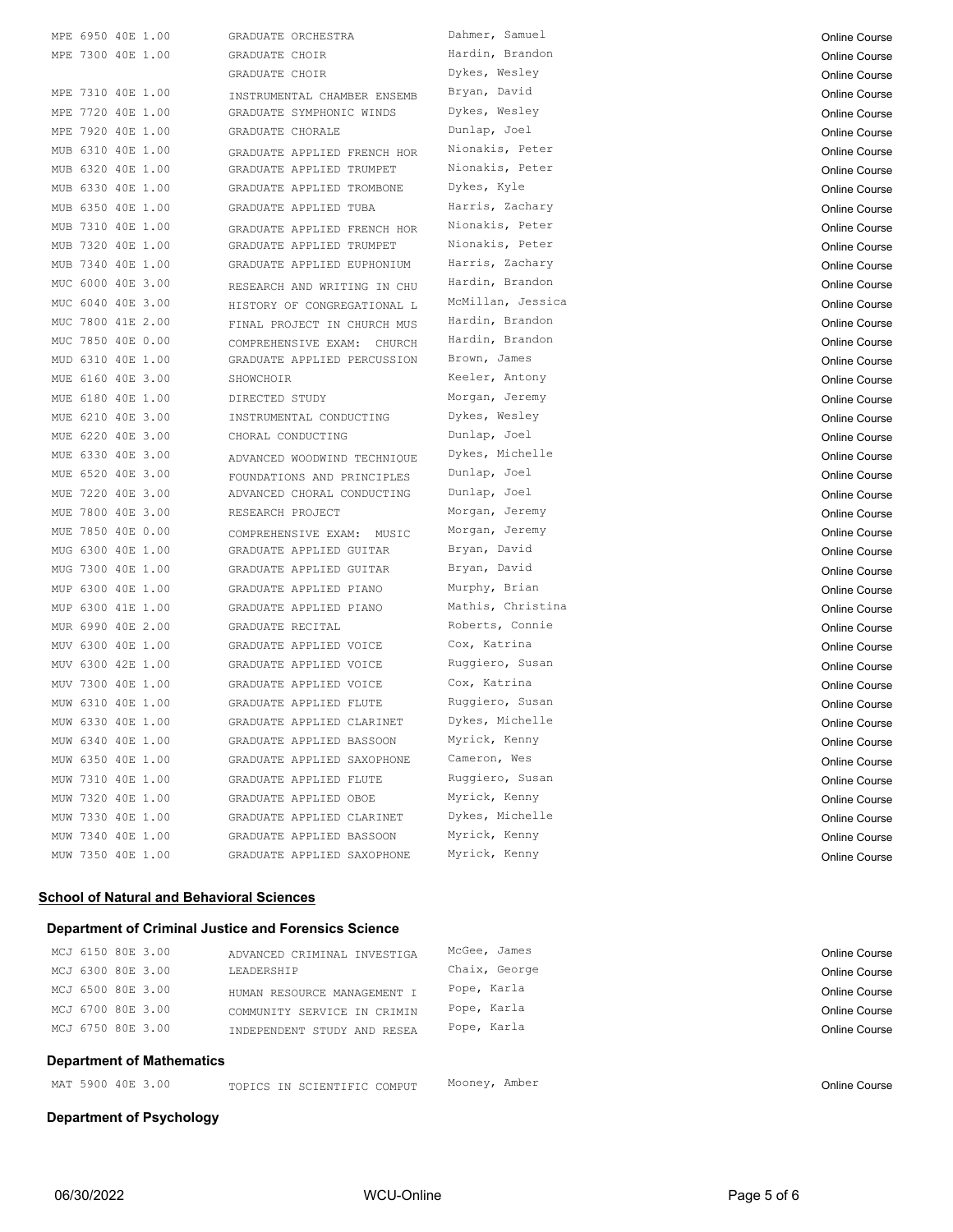| MPE 6950 40E 1.00    | GRADUATE ORCHESTRA          | Dahmer, Samuel    | <b>Online Course</b> |
|----------------------|-----------------------------|-------------------|----------------------|
| MPE 7300 40E 1.00    | GRADUATE CHOIR              | Hardin, Brandon   | <b>Online Course</b> |
|                      | GRADUATE CHOIR              | Dykes, Wesley     | <b>Online Course</b> |
| MPE 7310 40E 1.00    | INSTRUMENTAL CHAMBER ENSEMB | Bryan, David      | <b>Online Course</b> |
| MPE 7720 40E 1.00    | GRADUATE SYMPHONIC WINDS    | Dykes, Wesley     | Online Course        |
| MPE 7920 40E 1.00    | GRADUATE CHORALE            | Dunlap, Joel      | <b>Online Course</b> |
| MUB 6310 40E 1.00    | GRADUATE APPLIED FRENCH HOR | Nionakis, Peter   | Online Course        |
| MUB 6320 40E 1.00    | GRADUATE APPLIED TRUMPET    | Nionakis, Peter   | <b>Online Course</b> |
| MUB 6330 40E 1.00    | GRADUATE APPLIED TROMBONE   | Dykes, Kyle       | <b>Online Course</b> |
| MUB 6350 40E 1.00    | GRADUATE APPLIED TUBA       | Harris, Zachary   | <b>Online Course</b> |
| 7310 40E 1.00<br>MUB | GRADUATE APPLIED FRENCH HOR | Nionakis, Peter   | <b>Online Course</b> |
| 7320 40E 1.00<br>MUB | GRADUATE APPLIED TRUMPET    | Nionakis, Peter   | <b>Online Course</b> |
| 7340 40E 1.00<br>MUB | GRADUATE APPLIED EUPHONIUM  | Harris, Zachary   | <b>Online Course</b> |
| 6000 40E 3.00<br>MUC | RESEARCH AND WRITING IN CHU | Hardin, Brandon   | <b>Online Course</b> |
| 6040 40E 3.00<br>MUC | HISTORY OF CONGREGATIONAL L | McMillan, Jessica | <b>Online Course</b> |
| 7800 41E 2.00<br>MUC | FINAL PROJECT IN CHURCH MUS | Hardin, Brandon   | <b>Online Course</b> |
| 7850 40E 0.00<br>MUC | COMPREHENSIVE EXAM: CHURCH  | Hardin, Brandon   | Online Course        |
| 6310 40E 1.00<br>MUD | GRADUATE APPLIED PERCUSSION | Brown, James      | Online Course        |
| MUE 6160 40E 3.00    | SHOWCHOIR                   | Keeler, Antony    | <b>Online Course</b> |
| MUE 6180 40E 1.00    | DIRECTED STUDY              | Morgan, Jeremy    | <b>Online Course</b> |
| MUE 6210 40E 3.00    | INSTRUMENTAL CONDUCTING     | Dykes, Wesley     | Online Course        |
| MUE 6220 40E 3.00    | CHORAL CONDUCTING           | Dunlap, Joel      | <b>Online Course</b> |
| MUE 6330 40E 3.00    | ADVANCED WOODWIND TECHNIQUE | Dykes, Michelle   | Online Course        |
| MUE 6520 40E 3.00    | FOUNDATIONS AND PRINCIPLES  | Dunlap, Joel      | Online Course        |
| MUE 7220 40E 3.00    | ADVANCED CHORAL CONDUCTING  | Dunlap, Joel      | Online Course        |
| 7800 40E 3.00<br>MUE | RESEARCH PROJECT            | Morgan, Jeremy    | Online Course        |
| MUE 7850 40E 0.00    | COMPREHENSIVE EXAM: MUSIC   | Morgan, Jeremy    | <b>Online Course</b> |
| MUG 6300 40E 1.00    | GRADUATE APPLIED GUITAR     | Bryan, David      | <b>Online Course</b> |
| MUG 7300 40E 1.00    | GRADUATE APPLIED GUITAR     | Bryan, David      | <b>Online Course</b> |
| MUP 6300 40E 1.00    | GRADUATE APPLIED PIANO      | Murphy, Brian     | Online Course        |
| MUP 6300 41E 1.00    | GRADUATE APPLIED PIANO      | Mathis, Christina | <b>Online Course</b> |
| MUR 6990 40E 2.00    | GRADUATE RECITAL            | Roberts, Connie   | <b>Online Course</b> |
| MUV 6300 40E 1.00    | GRADUATE APPLIED VOICE      | Cox, Katrina      | <b>Online Course</b> |
| MUV 6300 42E 1.00    | GRADUATE APPLIED VOICE      | Ruggiero, Susan   |                      |
| 7300 40E 1.00<br>MUV | GRADUATE APPLIED VOICE      | Cox, Katrina      | <b>Online Course</b> |
| MUW 6310 40E 1.00    | GRADUATE APPLIED FLUTE      | Ruggiero, Susan   | <b>Online Course</b> |
|                      |                             | Dykes, Michelle   | Online Course        |
| MUW 6330 40E 1.00    | GRADUATE APPLIED CLARINET   | Myrick, Kenny     | <b>Online Course</b> |
| MUW 6340 40E 1.00    | GRADUATE APPLIED BASSOON    | Cameron, Wes      | Online Course        |
| MUW 6350 40E 1.00    | GRADUATE APPLIED SAXOPHONE  |                   | Online Course        |
| MUW 7310 40E 1.00    | GRADUATE APPLIED FLUTE      | Ruggiero, Susan   | Online Course        |
| MUW 7320 40E 1.00    | GRADUATE APPLIED OBOE       | Myrick, Kenny     | <b>Online Course</b> |
| MUW 7330 40E 1.00    | GRADUATE APPLIED CLARINET   | Dykes, Michelle   | Online Course        |
| MUW 7340 40E 1.00    | GRADUATE APPLIED BASSOON    | Myrick, Kenny     | Online Course        |
| MUW 7350 40E 1.00    | GRADUATE APPLIED SAXOPHONE  | Myrick, Kenny     | <b>Online Course</b> |
|                      |                             |                   |                      |

#### **School of Natural and Behavioral Sciences**

|                                  | Department of Criminal Justice and Forensics Science |               |               |
|----------------------------------|------------------------------------------------------|---------------|---------------|
| MCJ 6150 80E 3.00                | ADVANCED CRIMINAL INVESTIGA                          | McGee, James  | Online Course |
| MCJ 6300 80E 3.00                | LEADERSHIP                                           | Chaix, George | Online Course |
| MCJ 6500 80E 3.00                | HUMAN RESOURCE MANAGEMENT I                          | Pope, Karla   | Online Course |
| MCJ 6700 80E 3.00                | COMMUNITY SERVICE IN CRIMIN                          | Pope, Karla   | Online Course |
| MCJ 6750 80E 3.00                | INDEPENDENT STUDY AND RESEA                          | Pope, Karla   | Online Course |
| <b>Department of Mathematics</b> |                                                      |               |               |
| MAT 5900 40E 3.00                | TOPICS IN SCIENTIFIC COMPUT                          | Mooney, Amber | Online Course |

**Department of Psychology**